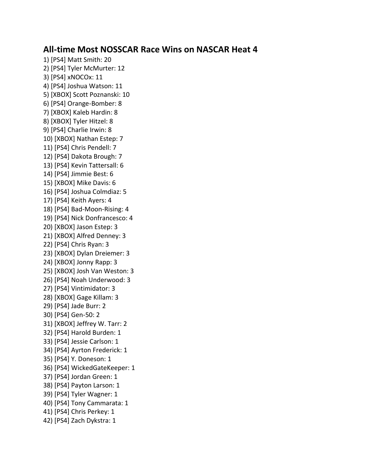## **All-time Most NOSSCAR Race Wins on NASCAR Heat 4**

1) [PS4] Matt Smith: 20 2) [PS4] Tyler McMurter: 12 3) [PS4] xNOCOx: 11 4) [PS4] Joshua Watson: 11 5) [XBOX] Scott Poznanski: 10 6) [PS4] Orange-Bomber: 8 7) [XBOX] Kaleb Hardin: 8 8) [XBOX] Tyler Hitzel: 8 9) [PS4] Charlie Irwin: 8 10) [XBOX] Nathan Estep: 7 11) [PS4] Chris Pendell: 7 12) [PS4] Dakota Brough: 7 13) [PS4] Kevin Tattersall: 6 14) [PS4] Jimmie Best: 6 15) [XBOX] Mike Davis: 6 16) [PS4] Joshua Colmdiaz: 5 17) [PS4] Keith Ayers: 4 18) [PS4] Bad-Moon-Rising: 4 19) [PS4] Nick Donfrancesco: 4 20) [XBOX] Jason Estep: 3 21) [XBOX] Alfred Denney: 3 22) [PS4] Chris Ryan: 3 23) [XBOX] Dylan Dreiemer: 3 24) [XBOX] Jonny Rapp: 3 25) [XBOX] Josh Van Weston: 3 26) [PS4] Noah Underwood: 3 27) [PS4] Vintimidator: 3 28) [XBOX] Gage Killam: 3 29) [PS4] Jade Burr: 2 30) [PS4] Gen-50: 2 31) [XBOX] Jeffrey W. Tarr: 2 32) [PS4] Harold Burden: 1 33) [PS4] Jessie Carlson: 1 34) [PS4] Ayrton Frederick: 1 35) [PS4] Y. Doneson: 1 36) [PS4] WickedGateKeeper: 1 37) [PS4] Jordan Green: 1 38) [PS4] Payton Larson: 1 39) [PS4] Tyler Wagner: 1 40) [PS4] Tony Cammarata: 1 41) [PS4] Chris Perkey: 1 42) [PS4] Zach Dykstra: 1